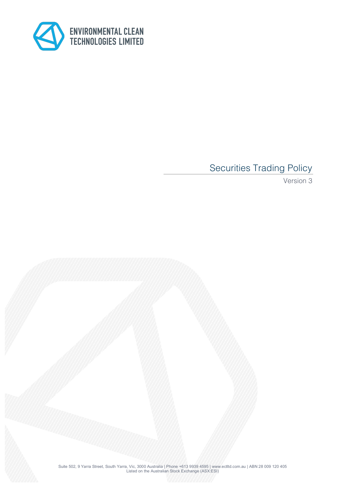

# Securities Trading Policy

Version 3

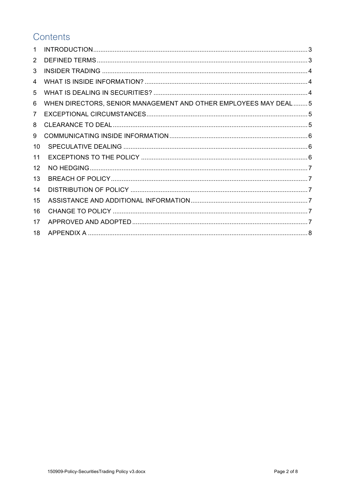# Contents

| WHEN DIRECTORS, SENIOR MANAGEMENT AND OTHER EMPLOYEES MAY DEAL  5 |  |
|-------------------------------------------------------------------|--|
|                                                                   |  |
|                                                                   |  |
|                                                                   |  |
|                                                                   |  |
|                                                                   |  |
|                                                                   |  |
|                                                                   |  |
|                                                                   |  |
|                                                                   |  |
|                                                                   |  |
|                                                                   |  |
|                                                                   |  |
|                                                                   |  |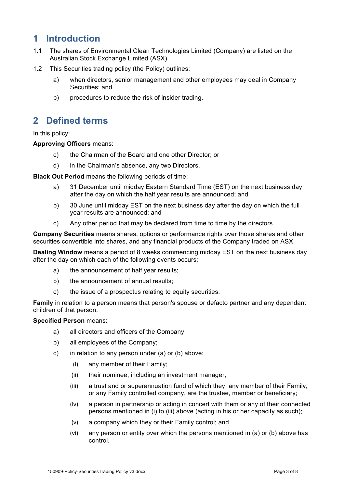# **1 Introduction**

- 1.1 The shares of Environmental Clean Technologies Limited (Company) are listed on the Australian Stock Exchange Limited (ASX).
- 1.2 This Securities trading policy (the Policy) outlines:
	- a) when directors, senior management and other employees may deal in Company Securities; and
	- b) procedures to reduce the risk of insider trading.

#### **2 Defined terms**

In this policy:

#### **Approving Officers** means:

- c) the Chairman of the Board and one other Director; or
- d) in the Chairman's absence, any two Directors.

**Black Out Period** means the following periods of time:

- a) 31 December until midday Eastern Standard Time (EST) on the next business day after the day on which the half year results are announced; and
- b) 30 June until midday EST on the next business day after the day on which the full year results are announced; and
- c) Any other period that may be declared from time to time by the directors.

**Company Securities** means shares, options or performance rights over those shares and other securities convertible into shares, and any financial products of the Company traded on ASX.

**Dealing Window** means a period of 8 weeks commencing midday EST on the next business day after the day on which each of the following events occurs:

- a) the announcement of half year results;
- b) the announcement of annual results;
- c) the issue of a prospectus relating to equity securities.

**Family** in relation to a person means that person's spouse or defacto partner and any dependant children of that person.

#### **Specified Person** means:

- a) all directors and officers of the Company;
- b) all employees of the Company;
- c) in relation to any person under (a) or (b) above:
	- (i) any member of their Family;
	- (ii) their nominee, including an investment manager;
	- (iii) a trust and or superannuation fund of which they, any member of their Family, or any Family controlled company, are the trustee, member or beneficiary;
	- (iv) a person in partnership or acting in concert with them or any of their connected persons mentioned in (i) to (iii) above (acting in his or her capacity as such);
	- (v) a company which they or their Family control; and
	- (vi) any person or entity over which the persons mentioned in (a) or (b) above has control.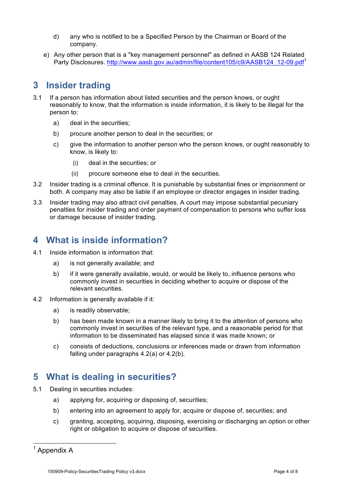- d) any who is notified to be a Specified Person by the Chairman or Board of the company.
- e) Any other person that is a "key management personnel" as defined in AASB 124 Related Party Disclosures. http://www.aasb.gov.au/admin/file/content105/c9/AASB124\_12-09.pdf<sup>1</sup>

# **3 Insider trading**

- 3.1 If a person has information about listed securities and the person knows, or ought reasonably to know, that the information is inside information, it is likely to be illegal for the person to:
	- a) deal in the securities;
	- b) procure another person to deal in the securities; or
	- c) give the information to another person who the person knows, or ought reasonably to know, is likely to:
		- (i) deal in the securities; or
		- (ii) procure someone else to deal in the securities.
- 3.2 Insider trading is a criminal offence. It is punishable by substantial fines or imprisonment or both. A company may also be liable if an employee or director engages in insider trading.
- 3.3 Insider trading may also attract civil penalties. A court may impose substantial pecuniary penalties for insider trading and order payment of compensation to persons who suffer loss or damage because of insider trading.

# **4 What is inside information?**

- 4.1 Inside information is information that:
	- a) is not generally available; and
	- b) if it were generally available, would, or would be likely to, influence persons who commonly invest in securities in deciding whether to acquire or dispose of the relevant securities.
- 4.2 Information is generally available if it:
	- a) is readily observable;
	- b) has been made known in a manner likely to bring it to the attention of persons who commonly invest in securities of the relevant type, and a reasonable period for that information to be disseminated has elapsed since it was made known; or
	- c) consists of deductions, conclusions or inferences made or drawn from information falling under paragraphs 4.2(a) or 4.2(b).

#### **5 What is dealing in securities?**

- 5.1 Dealing in securities includes:
	- a) applying for, acquiring or disposing of, securities;
	- b) entering into an agreement to apply for, acquire or dispose of, securities; and
	- c) granting, accepting, acquiring, disposing, exercising or discharging an option or other right or obligation to acquire or dispose of securities.

 $<sup>1</sup>$  Appendix A</sup>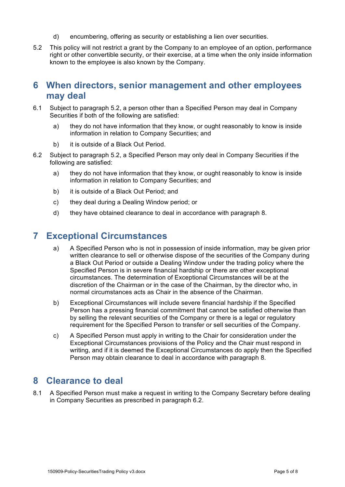- d) encumbering, offering as security or establishing a lien over securities.
- 5.2 This policy will not restrict a grant by the Company to an employee of an option, performance right or other convertible security, or their exercise, at a time when the only inside information known to the employee is also known by the Company.

#### **6 When directors, senior management and other employees may deal**

- 6.1 Subject to paragraph 5.2, a person other than a Specified Person may deal in Company Securities if both of the following are satisfied:
	- a) they do not have information that they know, or ought reasonably to know is inside information in relation to Company Securities; and
	- b) it is outside of a Black Out Period.
- 6.2 Subject to paragraph 5.2, a Specified Person may only deal in Company Securities if the following are satisfied:
	- a) they do not have information that they know, or ought reasonably to know is inside information in relation to Company Securities; and
	- b) it is outside of a Black Out Period; and
	- c) they deal during a Dealing Window period; or
	- d) they have obtained clearance to deal in accordance with paragraph 8.

#### **7 Exceptional Circumstances**

- a) A Specified Person who is not in possession of inside information, may be given prior written clearance to sell or otherwise dispose of the securities of the Company during a Black Out Period or outside a Dealing Window under the trading policy where the Specified Person is in severe financial hardship or there are other exceptional circumstances. The determination of Exceptional Circumstances will be at the discretion of the Chairman or in the case of the Chairman, by the director who, in normal circumstances acts as Chair in the absence of the Chairman.
- b) Exceptional Circumstances will include severe financial hardship if the Specified Person has a pressing financial commitment that cannot be satisfied otherwise than by selling the relevant securities of the Company or there is a legal or regulatory requirement for the Specified Person to transfer or sell securities of the Company.
- c) A Specified Person must apply in writing to the Chair for consideration under the Exceptional Circumstances provisions of the Policy and the Chair must respond in writing, and if it is deemed the Exceptional Circumstances do apply then the Specified Person may obtain clearance to deal in accordance with paragraph 8.

#### **8 Clearance to deal**

8.1 A Specified Person must make a request in writing to the Company Secretary before dealing in Company Securities as prescribed in paragraph 6.2.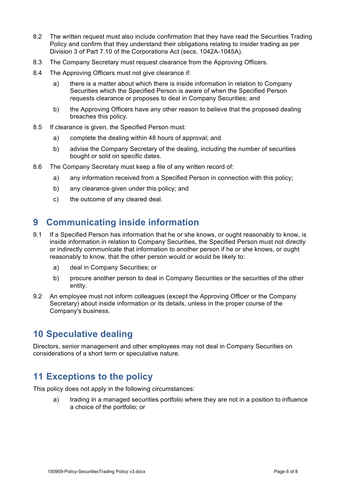- 8.2 The written request must also include confirmation that they have read the Securities Trading Policy and confirm that they understand their obligations relating to insider trading as per Division 3 of Part 7.10 of the Corporations Act (secs. 1042A-1045A).
- 8.3 The Company Secretary must request clearance from the Approving Officers.
- 8.4 The Approving Officers must not give clearance if:
	- a) there is a matter about which there is inside information in relation to Company Securities which the Specified Person is aware of when the Specified Person requests clearance or proposes to deal in Company Securities; and
	- b) the Approving Officers have any other reason to believe that the proposed dealing breaches this policy.
- 8.5 If clearance is given, the Specified Person must:
	- a) complete the dealing within 48 hours of approval; and
	- b) advise the Company Secretary of the dealing, including the number of securities bought or sold on specific dates.
- 8.6 The Company Secretary must keep a file of any written record of:
	- a) any information received from a Specified Person in connection with this policy;
	- b) any clearance given under this policy; and
	- c) the outcome of any cleared deal.

# **9 Communicating inside information**

- 9.1 If a Specified Person has information that he or she knows, or ought reasonably to know, is inside information in relation to Company Securities, the Specified Person must not directly or indirectly communicate that information to another person if he or she knows, or ought reasonably to know, that the other person would or would be likely to:
	- a) deal in Company Securities; or
	- b) procure another person to deal in Company Securities or the securities of the other entity.
- 9.2 An employee must not inform colleagues (except the Approving Officer or the Company Secretary) about inside information or its details, unless in the proper course of the Company's business.

### **10 Speculative dealing**

Directors, senior management and other employees may not deal in Company Securities on considerations of a short term or speculative nature.

#### **11 Exceptions to the policy**

This policy does not apply in the following circumstances:

a) trading in a managed securities portfolio where they are not in a position to influence a choice of the portfolio; or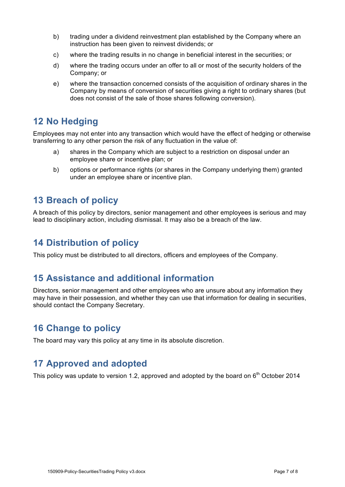- b) trading under a dividend reinvestment plan established by the Company where an instruction has been given to reinvest dividends; or
- c) where the trading results in no change in beneficial interest in the securities; or
- d) where the trading occurs under an offer to all or most of the security holders of the Company; or
- e) where the transaction concerned consists of the acquisition of ordinary shares in the Company by means of conversion of securities giving a right to ordinary shares (but does not consist of the sale of those shares following conversion).

# **12 No Hedging**

Employees may not enter into any transaction which would have the effect of hedging or otherwise transferring to any other person the risk of any fluctuation in the value of:

- a) shares in the Company which are subject to a restriction on disposal under an employee share or incentive plan; or
- b) options or performance rights (or shares in the Company underlying them) granted under an employee share or incentive plan.

### **13 Breach of policy**

A breach of this policy by directors, senior management and other employees is serious and may lead to disciplinary action, including dismissal. It may also be a breach of the law.

# **14 Distribution of policy**

This policy must be distributed to all directors, officers and employees of the Company.

### **15 Assistance and additional information**

Directors, senior management and other employees who are unsure about any information they may have in their possession, and whether they can use that information for dealing in securities, should contact the Company Secretary.

### **16 Change to policy**

The board may vary this policy at any time in its absolute discretion.

### **17 Approved and adopted**

This policy was update to version 1.2, approved and adopted by the board on  $6<sup>th</sup>$  October 2014